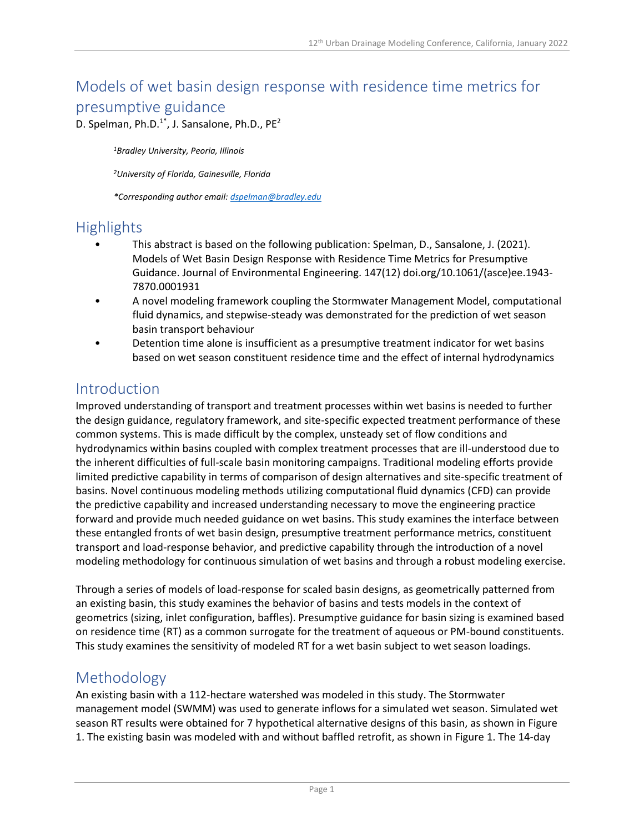# Models of wet basin design response with residence time metrics for presumptive guidance

D. Spelman, Ph.D. $1^*$ , J. Sansalone, Ph.D., PE<sup>2</sup>

*<sup>1</sup>Bradley University, Peoria, Illinois*

*<sup>2</sup>University of Florida, Gainesville, Florida*

*\*Corresponding author email: dspelman@bradley.edu*

### **Highlights**

- This abstract is based on the following publication: Spelman, D., Sansalone, J. (2021). Models of Wet Basin Design Response with Residence Time Metrics for Presumptive Guidance. Journal of Environmental Engineering. 147(12) doi.org/10.1061/(asce)ee.1943- 7870.0001931
- A novel modeling framework coupling the Stormwater Management Model, computational fluid dynamics, and stepwise-steady was demonstrated for the prediction of wet season basin transport behaviour
- Detention time alone is insufficient as a presumptive treatment indicator for wet basins based on wet season constituent residence time and the effect of internal hydrodynamics

### Introduction

Improved understanding of transport and treatment processes within wet basins is needed to further the design guidance, regulatory framework, and site-specific expected treatment performance of these common systems. This is made difficult by the complex, unsteady set of flow conditions and hydrodynamics within basins coupled with complex treatment processes that are ill-understood due to the inherent difficulties of full-scale basin monitoring campaigns. Traditional modeling efforts provide limited predictive capability in terms of comparison of design alternatives and site-specific treatment of basins. Novel continuous modeling methods utilizing computational fluid dynamics (CFD) can provide the predictive capability and increased understanding necessary to move the engineering practice forward and provide much needed guidance on wet basins. This study examines the interface between these entangled fronts of wet basin design, presumptive treatment performance metrics, constituent transport and load-response behavior, and predictive capability through the introduction of a novel modeling methodology for continuous simulation of wet basins and through a robust modeling exercise.

Through a series of models of load-response for scaled basin designs, as geometrically patterned from an existing basin, this study examines the behavior of basins and tests models in the context of geometrics (sizing, inlet configuration, baffles). Presumptive guidance for basin sizing is examined based on residence time (RT) as a common surrogate for the treatment of aqueous or PM-bound constituents. This study examines the sensitivity of modeled RT for a wet basin subject to wet season loadings.

#### Methodology

An existing basin with a 112-hectare watershed was modeled in this study. The Stormwater management model (SWMM) was used to generate inflows for a simulated wet season. Simulated wet season RT results were obtained for 7 hypothetical alternative designs of this basin, as shown in Figure 1. The existing basin was modeled with and without baffled retrofit, as shown in Figure 1. The 14-day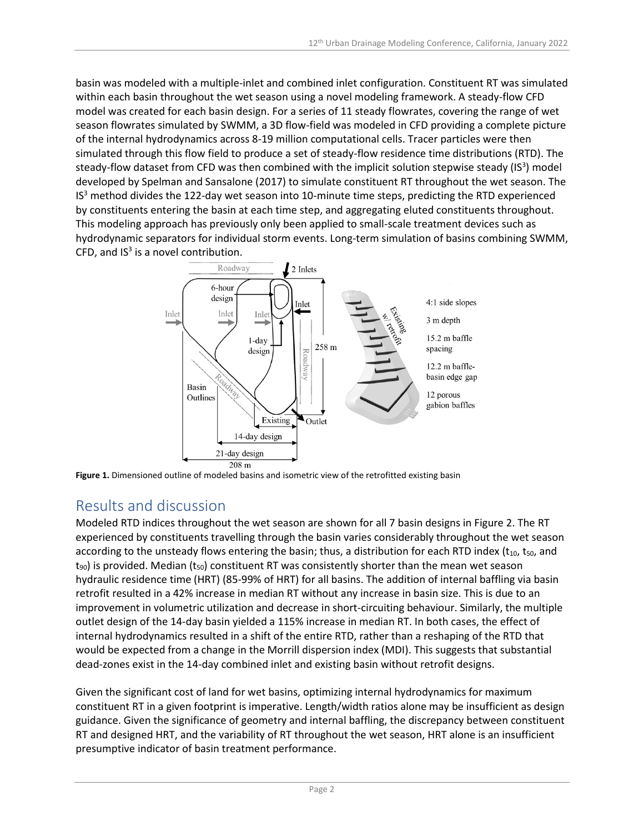basin was modeled with a multiple-inlet and combined inlet configuration. Constituent RT was simulated within each basin throughout the wet season using a novel modeling framework. A steady-flow CFD model was created for each basin design. For a series of 11 steady flowrates, covering the range of wet season flowrates simulated by SWMM, a 3D flow-field was modeled in CFD providing a complete picture of the internal hydrodynamics across 8-19 million computational cells. Tracer particles were then simulated through this flow field to produce a set of steady-flow residence time distributions (RTD). The steady-flow dataset from CFD was then combined with the implicit solution stepwise steady (IS<sup>3</sup>) model developed by Spelman and Sansalone (2017) to simulate constituent RT throughout the wet season. The IS<sup>3</sup> method divides the 122-day wet season into 10-minute time steps, predicting the RTD experienced by constituents entering the basin at each time step, and aggregating eluted constituents throughout. This modeling approach has previously only been applied to small-scale treatment devices such as hydrodynamic separators for individual storm events. Long-term simulation of basins combining SWMM, CFD, and  $IS<sup>3</sup>$  is a novel contribution.



**Figure 1.** Dimensioned outline of modeled basins and isometric view of the retrofitted existing basin

# Results and discussion

Modeled RTD indices throughout the wet season are shown for all 7 basin designs in Figure 2. The RT experienced by constituents travelling through the basin varies considerably throughout the wet season according to the unsteady flows entering the basin; thus, a distribution for each RTD index ( $t_{10}$ ,  $t_{50}$ , and  $t_{90}$ ) is provided. Median ( $t_{50}$ ) constituent RT was consistently shorter than the mean wet season hydraulic residence time (HRT) (85-99% of HRT) for all basins. The addition of internal baffling via basin retrofit resulted in a 42% increase in median RT without any increase in basin size. This is due to an improvement in volumetric utilization and decrease in short-circuiting behaviour. Similarly, the multiple outlet design of the 14-day basin yielded a 115% increase in median RT. In both cases, the effect of internal hydrodynamics resulted in a shift of the entire RTD, rather than a reshaping of the RTD that would be expected from a change in the Morrill dispersion index (MDI). This suggests that substantial dead-zones exist in the 14-day combined inlet and existing basin without retrofit designs.

Given the significant cost of land for wet basins, optimizing internal hydrodynamics for maximum constituent RT in a given footprint is imperative. Length/width ratios alone may be insufficient as design guidance. Given the significance of geometry and internal baffling, the discrepancy between constituent RT and designed HRT, and the variability of RT throughout the wet season, HRT alone is an insufficient presumptive indicator of basin treatment performance.